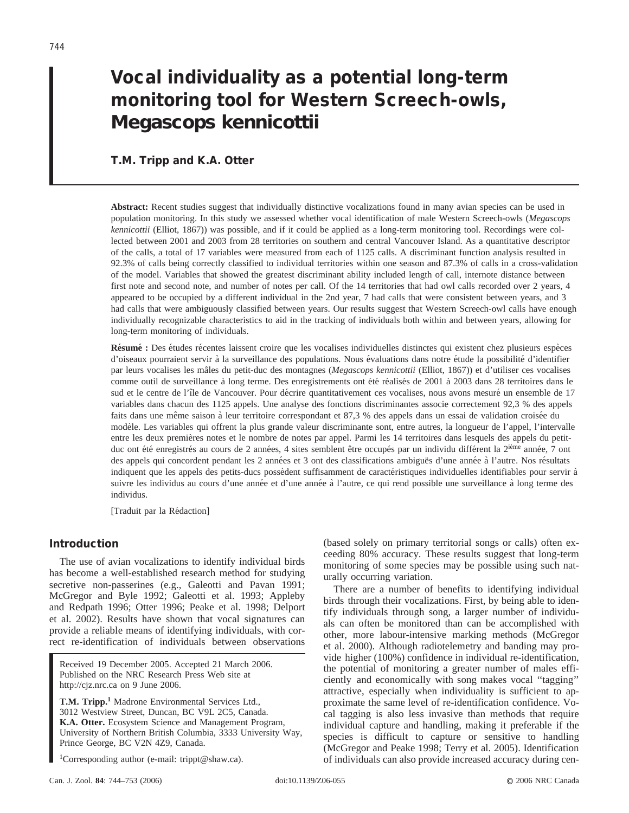# **Vocal individuality as a potential long-term monitoring tool for Western Screech-owls,** *Megascops kennicottii*

## **T.M. Tripp and K.A. Otter**

**Abstract:** Recent studies suggest that individually distinctive vocalizations found in many avian species can be used in population monitoring. In this study we assessed whether vocal identification of male Western Screech-owls (*Megascops kennicottii* (Elliot, 1867)) was possible, and if it could be applied as a long-term monitoring tool. Recordings were collected between 2001 and 2003 from 28 territories on southern and central Vancouver Island. As a quantitative descriptor of the calls, a total of 17 variables were measured from each of 1125 calls. A discriminant function analysis resulted in 92.3% of calls being correctly classified to individual territories within one season and 87.3% of calls in a cross-validation of the model. Variables that showed the greatest discriminant ability included length of call, internote distance between first note and second note, and number of notes per call. Of the 14 territories that had owl calls recorded over 2 years, 4 appeared to be occupied by a different individual in the 2nd year, 7 had calls that were consistent between years, and 3 had calls that were ambiguously classified between years. Our results suggest that Western Screech-owl calls have enough individually recognizable characteristics to aid in the tracking of individuals both within and between years, allowing for long-term monitoring of individuals.

Résumé : Des études récentes laissent croire que les vocalises individuelles distinctes qui existent chez plusieurs espèces d'oiseaux pourraient servir à la surveillance des populations. Nous évaluations dans notre étude la possibilité d'identifier par leurs vocalises les mâles du petit-duc des montagnes (*Megascops kennicottii* (Elliot, 1867)) et d'utiliser ces vocalises comme outil de surveillance à long terme. Des enregistrements ont été réalisés de 2001 à 2003 dans 28 territoires dans le sud et le centre de l'île de Vancouver. Pour décrire quantitativement ces vocalises, nous avons mesuré un ensemble de 17 variables dans chacun des 1125 appels. Une analyse des fonctions discriminantes associe correctement 92,3 % des appels faits dans une même saison à leur territoire correspondant et 87,3 % des appels dans un essai de validation croisée du modèle. Les variables qui offrent la plus grande valeur discriminante sont, entre autres, la longueur de l'appel, l'intervalle entre les deux premières notes et le nombre de notes par appel. Parmi les 14 territoires dans lesquels des appels du petitduc ont été enregistrés au cours de 2 années, 4 sites semblent être occupés par un individu différent la 2<sup>ième</sup> année, 7 ont des appels qui concordent pendant les 2 années et 3 ont des classifications ambiguës d'une année à l'autre. Nos résultats indiquent que les appels des petits-ducs possèdent suffisamment de caractéristiques individuelles identifiables pour servir à suivre les individus au cours d'une année et d'une année à l'autre, ce qui rend possible une surveillance à long terme des individus.

[Traduit par la Rédaction]

## **Introduction**

The use of avian vocalizations to identify individual birds has become a well-established research method for studying secretive non-passerines (e.g., Galeotti and Pavan 1991; McGregor and Byle 1992; Galeotti et al. 1993; Appleby and Redpath 1996; Otter 1996; Peake et al. 1998; Delport et al. 2002). Results have shown that vocal signatures can provide a reliable means of identifying individuals, with correct re-identification of individuals between observations

Received 19 December 2005. Accepted 21 March 2006. Published on the NRC Research Press Web site at http://cjz.nrc.ca on 9 June 2006.

**T.M. Tripp.1** Madrone Environmental Services Ltd., 3012 Westview Street, Duncan, BC V9L 2C5, Canada. **K.A. Otter.** Ecosystem Science and Management Program, University of Northern British Columbia, 3333 University Way, Prince George, BC V2N 4Z9, Canada.

<sup>1</sup>Corresponding author (e-mail: trippt@shaw.ca).

(based solely on primary territorial songs or calls) often exceeding 80% accuracy. These results suggest that long-term monitoring of some species may be possible using such naturally occurring variation.

There are a number of benefits to identifying individual birds through their vocalizations. First, by being able to identify individuals through song, a larger number of individuals can often be monitored than can be accomplished with other, more labour-intensive marking methods (McGregor et al. 2000). Although radiotelemetry and banding may provide higher (100%) confidence in individual re-identification, the potential of monitoring a greater number of males efficiently and economically with song makes vocal ''tagging'' attractive, especially when individuality is sufficient to approximate the same level of re-identification confidence. Vocal tagging is also less invasive than methods that require individual capture and handling, making it preferable if the species is difficult to capture or sensitive to handling (McGregor and Peake 1998; Terry et al. 2005). Identification of individuals can also provide increased accuracy during cen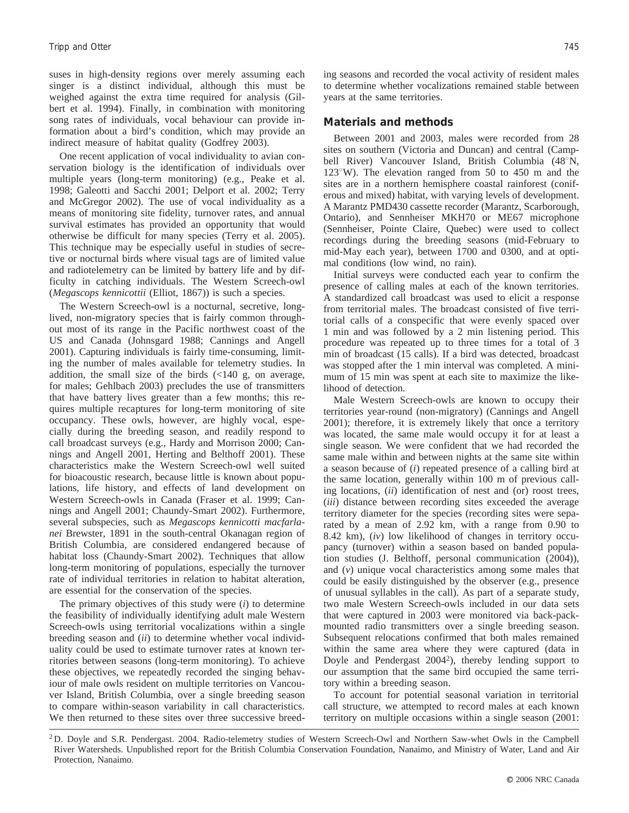suses in high-density regions over merely assuming each singer is a distinct individual, although this must be weighed against the extra time required for analysis (Gilbert et al. 1994). Finally, in combination with monitoring song rates of individuals, vocal behaviour can provide information about a bird's condition, which may provide an indirect measure of habitat quality (Godfrey 2003).

One recent application of vocal individuality to avian conservation biology is the identification of individuals over multiple years (long-term monitoring) (e.g., Peake et al. 1998; Galeotti and Sacchi 2001; Delport et al. 2002; Terry and McGregor 2002). The use of vocal individuality as a means of monitoring site fidelity, turnover rates, and annual survival estimates has provided an opportunity that would otherwise be difficult for many species (Terry et al. 2005). This technique may be especially useful in studies of secretive or nocturnal birds where visual tags are of limited value and radiotelemetry can be limited by battery life and by difficulty in catching individuals. The Western Screech-owl (*Megascops kennicottii* (Elliot, 1867)) is such a species.

The Western Screech-owl is a nocturnal, secretive, longlived, non-migratory species that is fairly common throughout most of its range in the Pacific northwest coast of the US and Canada (Johnsgard 1988; Cannings and Angell 2001). Capturing individuals is fairly time-consuming, limiting the number of males available for telemetry studies. In addition, the small size of the birds (<140 g, on average, for males; Gehlbach 2003) precludes the use of transmitters that have battery lives greater than a few months; this requires multiple recaptures for long-term monitoring of site occupancy. These owls, however, are highly vocal, especially during the breeding season, and readily respond to call broadcast surveys (e.g., Hardy and Morrison 2000; Cannings and Angell 2001, Herting and Belthoff 2001). These characteristics make the Western Screech-owl well suited for bioacoustic research, because little is known about populations, life history, and effects of land development on Western Screech-owls in Canada (Fraser et al. 1999; Cannings and Angell 2001; Chaundy-Smart 2002). Furthermore, several subspecies, such as *Megascops kennicotti macfarlanei* Brewster, 1891 in the south-central Okanagan region of British Columbia, are considered endangered because of habitat loss (Chaundy-Smart 2002). Techniques that allow long-term monitoring of populations, especially the turnover rate of individual territories in relation to habitat alteration, are essential for the conservation of the species.

The primary objectives of this study were (*i*) to determine the feasibility of individually identifying adult male Western Screech-owls using territorial vocalizations within a single breeding season and (*ii*) to determine whether vocal individuality could be used to estimate turnover rates at known territories between seasons (long-term monitoring). To achieve these objectives, we repeatedly recorded the singing behaviour of male owls resident on multiple territories on Vancouver Island, British Columbia, over a single breeding season to compare within-season variability in call characteristics. We then returned to these sites over three successive breeding seasons and recorded the vocal activity of resident males to determine whether vocalizations remained stable between years at the same territories.

## **Materials and methods**

Between 2001 and 2003, males were recorded from 28 sites on southern (Victoria and Duncan) and central (Campbell River) Vancouver Island, British Columbia (48°N,  $123^{\circ}$ W). The elevation ranged from 50 to 450 m and the sites are in a northern hemisphere coastal rainforest (coniferous and mixed) habitat, with varying levels of development. A Marantz PMD430 cassette recorder (Marantz, Scarborough, Ontario), and Sennheiser MKH70 or ME67 microphone (Sennheiser, Pointe Claire, Quebec) were used to collect recordings during the breeding seasons (mid-February to mid-May each year), between 1700 and 0300, and at optimal conditions (low wind, no rain).

Initial surveys were conducted each year to confirm the presence of calling males at each of the known territories. A standardized call broadcast was used to elicit a response from territorial males. The broadcast consisted of five territorial calls of a conspecific that were evenly spaced over 1 min and was followed by a 2 min listening period. This procedure was repeated up to three times for a total of 3 min of broadcast (15 calls). If a bird was detected, broadcast was stopped after the 1 min interval was completed. A minimum of 15 min was spent at each site to maximize the likelihood of detection.

Male Western Screech-owls are known to occupy their territories year-round (non-migratory) (Cannings and Angell 2001); therefore, it is extremely likely that once a territory was located, the same male would occupy it for at least a single season. We were confident that we had recorded the same male within and between nights at the same site within a season because of (*i*) repeated presence of a calling bird at the same location, generally within 100 m of previous calling locations, (*ii*) identification of nest and (or) roost trees, (*iii*) distance between recording sites exceeded the average territory diameter for the species (recording sites were separated by a mean of 2.92 km, with a range from 0.90 to 8.42 km), (*iv*) low likelihood of changes in territory occupancy (turnover) within a season based on banded population studies (J. Belthoff, personal communication (2004)), and (*v*) unique vocal characteristics among some males that could be easily distinguished by the observer (e.g., presence of unusual syllables in the call). As part of a separate study, two male Western Screech-owls included in our data sets that were captured in 2003 were monitored via back-packmounted radio transmitters over a single breeding season. Subsequent relocations confirmed that both males remained within the same area where they were captured (data in Doyle and Pendergast 20042), thereby lending support to our assumption that the same bird occupied the same territory within a breeding season.

To account for potential seasonal variation in territorial call structure, we attempted to record males at each known territory on multiple occasions within a single season (2001:

<sup>2</sup> D. Doyle and S.R. Pendergast. 2004. Radio-telemetry studies of Western Screech-Owl and Northern Saw-whet Owls in the Campbell River Watersheds. Unpublished report for the British Columbia Conservation Foundation, Nanaimo, and Ministry of Water, Land and Air Protection, Nanaimo.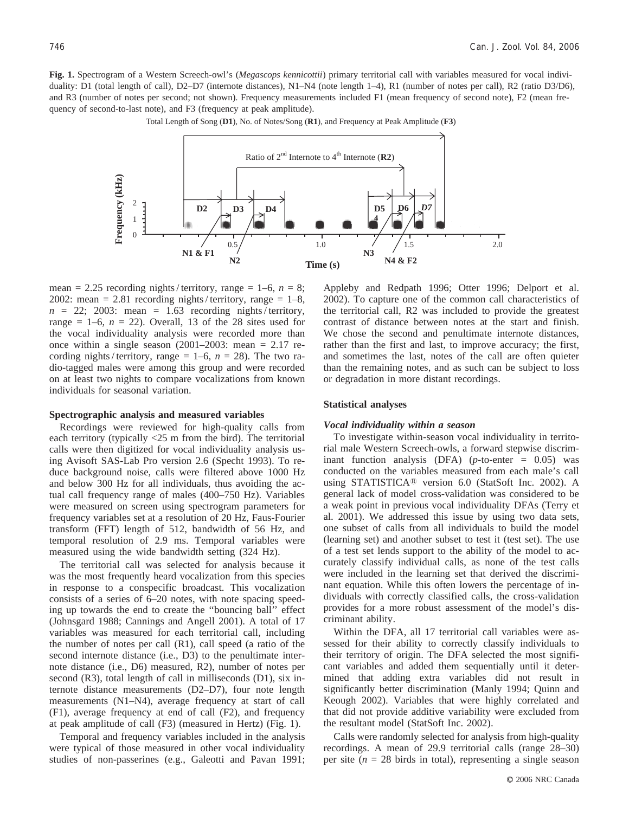**Fig. 1.** Spectrogram of a Western Screech-owl's (*Megascops kennicottii*) primary territorial call with variables measured for vocal individuality: D1 (total length of call), D2–D7 (internote distances), N1–N4 (note length 1–4), R1 (number of notes per call), R2 (ratio D3/D6), and R3 (number of notes per second; not shown). Frequency measurements included F1 (mean frequency of second note), F2 (mean frequency of second-to-last note), and F3 (frequency at peak amplitude).



Total Length of Song (D1), No. of Notes/Song (R1), and Frequency at Peak Amplitude (F3)

mean = 2.25 recording nights/territory, range = 1–6,  $n = 8$ ; 2002: mean = 2.81 recording nights/territory, range =  $1-8$ ,  $n = 22$ ; 2003: mean = 1.63 recording nights/territory, range  $= 1-6$ ,  $n = 22$ ). Overall, 13 of the 28 sites used for the vocal individuality analysis were recorded more than once within a single season  $(2001–2003:$  mean = 2.17 recording nights/territory, range =  $1-6$ ,  $n = 28$ ). The two radio-tagged males were among this group and were recorded on at least two nights to compare vocalizations from known individuals for seasonal variation.

#### **Spectrographic analysis and measured variables**

Recordings were reviewed for high-quality calls from each territory (typically <25 m from the bird). The territorial calls were then digitized for vocal individuality analysis using Avisoft SAS-Lab Pro version 2.6 (Specht 1993). To reduce background noise, calls were filtered above 1000 Hz and below 300 Hz for all individuals, thus avoiding the actual call frequency range of males (400–750 Hz). Variables were measured on screen using spectrogram parameters for frequency variables set at a resolution of 20 Hz, Faus-Fourier transform (FFT) length of 512, bandwidth of 56 Hz, and temporal resolution of 2.9 ms. Temporal variables were measured using the wide bandwidth setting (324 Hz).

The territorial call was selected for analysis because it was the most frequently heard vocalization from this species in response to a conspecific broadcast. This vocalization consists of a series of 6–20 notes, with note spacing speeding up towards the end to create the ''bouncing ball'' effect (Johnsgard 1988; Cannings and Angell 2001). A total of 17 variables was measured for each territorial call, including the number of notes per call (R1), call speed (a ratio of the second internote distance (i.e., D3) to the penultimate internote distance (i.e., D6) measured, R2), number of notes per second (R3), total length of call in milliseconds (D1), six internote distance measurements (D2–D7), four note length measurements (N1–N4), average frequency at start of call (F1), average frequency at end of call (F2), and frequency at peak amplitude of call (F3) (measured in Hertz) (Fig. 1).

Temporal and frequency variables included in the analysis were typical of those measured in other vocal individuality studies of non-passerines (e.g., Galeotti and Pavan 1991; Appleby and Redpath 1996; Otter 1996; Delport et al. 2002). To capture one of the common call characteristics of the territorial call, R2 was included to provide the greatest contrast of distance between notes at the start and finish. We chose the second and penultimate internote distances, rather than the first and last, to improve accuracy; the first, and sometimes the last, notes of the call are often quieter than the remaining notes, and as such can be subject to loss or degradation in more distant recordings.

#### **Statistical analyses**

#### *Vocal individuality within a season*

To investigate within-season vocal individuality in territorial male Western Screech-owls, a forward stepwise discriminant function analysis (DFA) (*p*-to-enter = 0.05) was conducted on the variables measured from each male's call using STATISTICA<sup>®</sup> version 6.0 (StatSoft Inc. 2002). A general lack of model cross-validation was considered to be a weak point in previous vocal individuality DFAs (Terry et al. 2001). We addressed this issue by using two data sets, one subset of calls from all individuals to build the model (learning set) and another subset to test it (test set). The use of a test set lends support to the ability of the model to accurately classify individual calls, as none of the test calls were included in the learning set that derived the discriminant equation. While this often lowers the percentage of individuals with correctly classified calls, the cross-validation provides for a more robust assessment of the model's discriminant ability.

Within the DFA, all 17 territorial call variables were assessed for their ability to correctly classify individuals to their territory of origin. The DFA selected the most significant variables and added them sequentially until it determined that adding extra variables did not result in significantly better discrimination (Manly 1994; Quinn and Keough 2002). Variables that were highly correlated and that did not provide additive variability were excluded from the resultant model (StatSoft Inc. 2002).

Calls were randomly selected for analysis from high-quality recordings. A mean of 29.9 territorial calls (range 28–30) per site  $(n = 28$  birds in total), representing a single season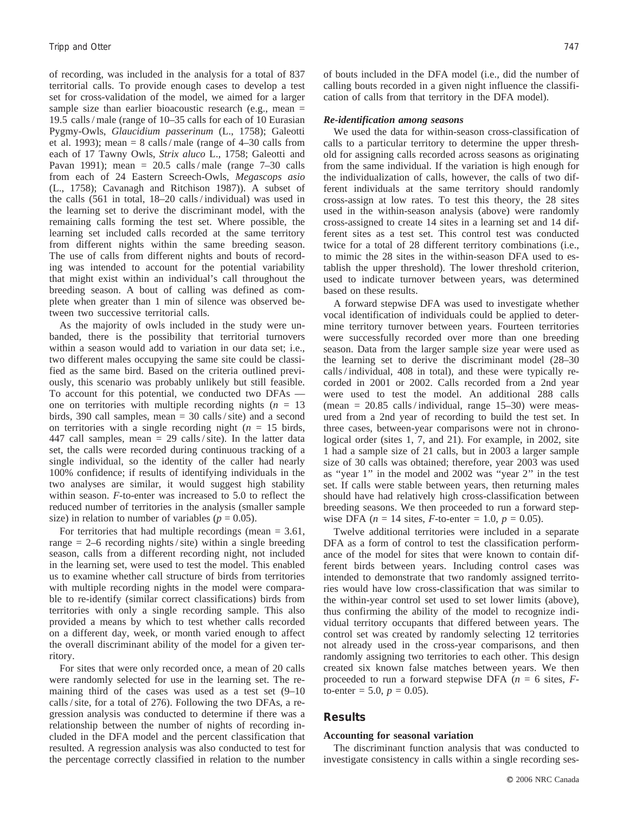of recording, was included in the analysis for a total of 837 territorial calls. To provide enough cases to develop a test set for cross-validation of the model, we aimed for a larger sample size than earlier bioacoustic research (e.g., mean  $=$ 19.5 calls / male (range of 10–35 calls for each of 10 Eurasian Pygmy-Owls, *Glaucidium passerinum* (L., 1758); Galeotti et al. 1993); mean =  $8$  calls / male (range of 4–30 calls from each of 17 Tawny Owls, *Strix aluco* L., 1758; Galeotti and Pavan 1991); mean =  $20.5$  calls/male (range  $7-30$  calls from each of 24 Eastern Screech-Owls, *Megascops asio* (L., 1758); Cavanagh and Ritchison 1987)). A subset of the calls (561 in total, 18–20 calls / individual) was used in the learning set to derive the discriminant model, with the remaining calls forming the test set. Where possible, the learning set included calls recorded at the same territory from different nights within the same breeding season. The use of calls from different nights and bouts of recording was intended to account for the potential variability that might exist within an individual's call throughout the breeding season. A bout of calling was defined as complete when greater than 1 min of silence was observed between two successive territorial calls.

As the majority of owls included in the study were unbanded, there is the possibility that territorial turnovers within a season would add to variation in our data set; i.e., two different males occupying the same site could be classified as the same bird. Based on the criteria outlined previously, this scenario was probably unlikely but still feasible. To account for this potential, we conducted two DFAs one on territories with multiple recording nights  $(n = 13)$ birds, 390 call samples, mean = 30 calls / site) and a second on territories with a single recording night  $(n = 15)$  birds, 447 call samples, mean  $= 29$  calls/site). In the latter data set, the calls were recorded during continuous tracking of a single individual, so the identity of the caller had nearly 100% confidence; if results of identifying individuals in the two analyses are similar, it would suggest high stability within season. *F*-to-enter was increased to 5.0 to reflect the reduced number of territories in the analysis (smaller sample size) in relation to number of variables ( $p = 0.05$ ).

For territories that had multiple recordings (mean  $= 3.61$ , range  $= 2$ –6 recording nights/site) within a single breeding season, calls from a different recording night, not included in the learning set, were used to test the model. This enabled us to examine whether call structure of birds from territories with multiple recording nights in the model were comparable to re-identify (similar correct classifications) birds from territories with only a single recording sample. This also provided a means by which to test whether calls recorded on a different day, week, or month varied enough to affect the overall discriminant ability of the model for a given territory.

For sites that were only recorded once, a mean of 20 calls were randomly selected for use in the learning set. The remaining third of the cases was used as a test set (9–10 calls / site, for a total of 276). Following the two DFAs, a regression analysis was conducted to determine if there was a relationship between the number of nights of recording included in the DFA model and the percent classification that resulted. A regression analysis was also conducted to test for the percentage correctly classified in relation to the number of bouts included in the DFA model (i.e., did the number of calling bouts recorded in a given night influence the classification of calls from that territory in the DFA model).

#### *Re-identification among seasons*

We used the data for within-season cross-classification of calls to a particular territory to determine the upper threshold for assigning calls recorded across seasons as originating from the same individual. If the variation is high enough for the individualization of calls, however, the calls of two different individuals at the same territory should randomly cross-assign at low rates. To test this theory, the 28 sites used in the within-season analysis (above) were randomly cross-assigned to create 14 sites in a learning set and 14 different sites as a test set. This control test was conducted twice for a total of 28 different territory combinations (i.e., to mimic the 28 sites in the within-season DFA used to establish the upper threshold). The lower threshold criterion, used to indicate turnover between years, was determined based on these results.

A forward stepwise DFA was used to investigate whether vocal identification of individuals could be applied to determine territory turnover between years. Fourteen territories were successfully recorded over more than one breeding season. Data from the larger sample size year were used as the learning set to derive the discriminant model (28–30 calls / individual, 408 in total), and these were typically recorded in 2001 or 2002. Calls recorded from a 2nd year were used to test the model. An additional 288 calls (mean =  $20.85$  calls/individual, range 15–30) were measured from a 2nd year of recording to build the test set. In three cases, between-year comparisons were not in chronological order (sites 1, 7, and 21). For example, in 2002, site 1 had a sample size of 21 calls, but in 2003 a larger sample size of 30 calls was obtained; therefore, year 2003 was used as ''year 1'' in the model and 2002 was ''year 2'' in the test set. If calls were stable between years, then returning males should have had relatively high cross-classification between breeding seasons. We then proceeded to run a forward stepwise DFA ( $n = 14$  sites,  $F$ -to-enter = 1.0,  $p = 0.05$ ).

Twelve additional territories were included in a separate DFA as a form of control to test the classification performance of the model for sites that were known to contain different birds between years. Including control cases was intended to demonstrate that two randomly assigned territories would have low cross-classification that was similar to the within-year control set used to set lower limits (above), thus confirming the ability of the model to recognize individual territory occupants that differed between years. The control set was created by randomly selecting 12 territories not already used in the cross-year comparisons, and then randomly assigning two territories to each other. This design created six known false matches between years. We then proceeded to run a forward stepwise DFA (*n* = 6 sites, *F*to-enter = 5.0,  $p = 0.05$ ).

## **Results**

#### **Accounting for seasonal variation**

The discriminant function analysis that was conducted to investigate consistency in calls within a single recording ses-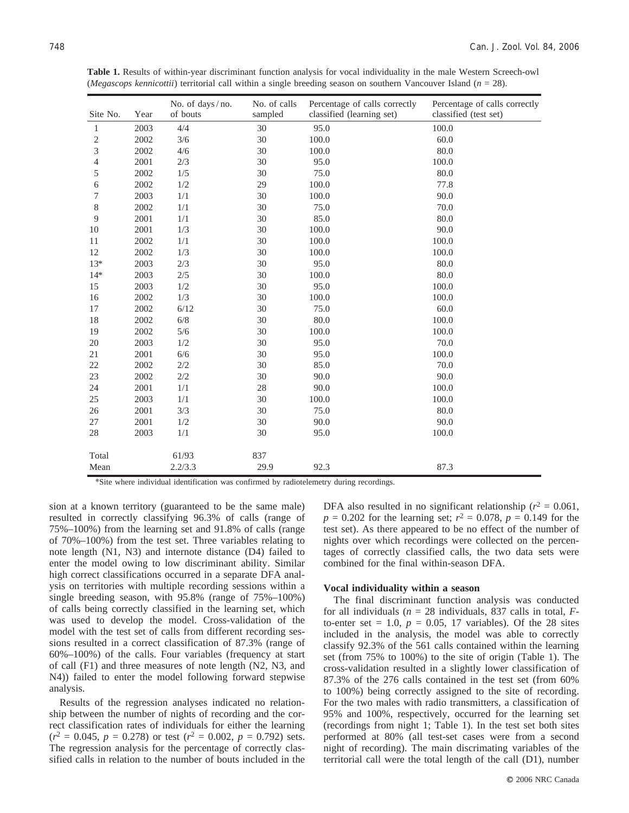| Site No.       | Year | No. of days/no.<br>of bouts | No. of calls<br>sampled | Percentage of calls correctly<br>classified (learning set) | Percentage of calls correctly<br>classified (test set) |
|----------------|------|-----------------------------|-------------------------|------------------------------------------------------------|--------------------------------------------------------|
| 1              | 2003 | 4/4                         | 30                      | 95.0                                                       | 100.0                                                  |
| $\mathfrak{2}$ | 2002 | 3/6                         | 30                      | 100.0                                                      | 60.0                                                   |
| 3              | 2002 | 4/6                         | 30                      | 100.0                                                      | 80.0                                                   |
| 4              | 2001 | 2/3                         | 30                      | 95.0                                                       | 100.0                                                  |
| 5              | 2002 | 1/5                         | 30                      | 75.0                                                       | 80.0                                                   |
| 6              | 2002 | 1/2                         | 29                      | 100.0                                                      | 77.8                                                   |
| 7              | 2003 | 1/1                         | 30                      | 100.0                                                      | 90.0                                                   |
| 8              | 2002 | 1/1                         | 30                      | 75.0                                                       | 70.0                                                   |
| 9              | 2001 | 1/1                         | 30                      | 85.0                                                       | 80.0                                                   |
| 10             | 2001 | 1/3                         | 30                      | 100.0                                                      | 90.0                                                   |
| 11             | 2002 | 1/1                         | 30                      | 100.0                                                      | 100.0                                                  |
| 12             | 2002 | 1/3                         | 30                      | 100.0                                                      | 100.0                                                  |
| $13*$          | 2003 | 2/3                         | 30                      | 95.0                                                       | 80.0                                                   |
| $14*$          | 2003 | 2/5                         | 30                      | 100.0                                                      | 80.0                                                   |
| 15             | 2003 | 1/2                         | 30                      | 95.0                                                       | 100.0                                                  |
| 16             | 2002 | 1/3                         | 30                      | 100.0                                                      | 100.0                                                  |
| 17             | 2002 | 6/12                        | 30                      | 75.0                                                       | 60.0                                                   |
| 18             | 2002 | $6/8$                       | 30                      | 80.0                                                       | 100.0                                                  |
| 19             | 2002 | 5/6                         | 30                      | 100.0                                                      | 100.0                                                  |
| 20             | 2003 | 1/2                         | 30                      | 95.0                                                       | 70.0                                                   |
| 21             | 2001 | 6/6                         | 30                      | 95.0                                                       | 100.0                                                  |
| 22             | 2002 | 2/2                         | 30                      | 85.0                                                       | 70.0                                                   |
| 23             | 2002 | $2/2$                       | 30                      | 90.0                                                       | 90.0                                                   |
| 24             | 2001 | 1/1                         | 28                      | 90.0                                                       | 100.0                                                  |
| 25             | 2003 | 1/1                         | 30                      | 100.0                                                      | 100.0                                                  |
| 26             | 2001 | 3/3                         | 30                      | 75.0                                                       | 80.0                                                   |
| 27             | 2001 | 1/2                         | 30                      | 90.0                                                       | 90.0                                                   |
| 28             | 2003 | 1/1                         | 30                      | 95.0                                                       | 100.0                                                  |
| Total          |      | 61/93                       | 837                     |                                                            |                                                        |
| Mean           |      | 2.2/3.3                     | 29.9                    | 92.3                                                       | 87.3                                                   |

**Table 1.** Results of within-year discriminant function analysis for vocal individuality in the male Western Screech-owl (*Megascops kennicottii*) territorial call within a single breeding season on southern Vancouver Island (*n* = 28).

\*Site where individual identification was confirmed by radiotelemetry during recordings.

sion at a known territory (guaranteed to be the same male) resulted in correctly classifying 96.3% of calls (range of 75%–100%) from the learning set and 91.8% of calls (range of 70%–100%) from the test set. Three variables relating to note length (N1, N3) and internote distance (D4) failed to enter the model owing to low discriminant ability. Similar high correct classifications occurred in a separate DFA analysis on territories with multiple recording sessions within a single breeding season, with 95.8% (range of 75%–100%) of calls being correctly classified in the learning set, which was used to develop the model. Cross-validation of the model with the test set of calls from different recording sessions resulted in a correct classification of 87.3% (range of 60%–100%) of the calls. Four variables (frequency at start of call (F1) and three measures of note length (N2, N3, and N4)) failed to enter the model following forward stepwise analysis.

Results of the regression analyses indicated no relationship between the number of nights of recording and the correct classification rates of individuals for either the learning  $(r^2 = 0.045, p = 0.278)$  or test  $(r^2 = 0.002, p = 0.792)$  sets. The regression analysis for the percentage of correctly classified calls in relation to the number of bouts included in the DFA also resulted in no significant relationship ( $r^2 = 0.061$ ,  $p = 0.202$  for the learning set;  $r^2 = 0.078$ ,  $p = 0.149$  for the test set). As there appeared to be no effect of the number of nights over which recordings were collected on the percentages of correctly classified calls, the two data sets were combined for the final within-season DFA.

#### **Vocal individuality within a season**

The final discriminant function analysis was conducted for all individuals (*n* = 28 individuals, 837 calls in total, *F*to-enter set  $= 1.0$ ,  $p = 0.05$ , 17 variables). Of the 28 sites included in the analysis, the model was able to correctly classify 92.3% of the 561 calls contained within the learning set (from 75% to 100%) to the site of origin (Table 1). The cross-validation resulted in a slightly lower classification of 87.3% of the 276 calls contained in the test set (from 60% to 100%) being correctly assigned to the site of recording. For the two males with radio transmitters, a classification of 95% and 100%, respectively, occurred for the learning set (recordings from night 1; Table 1). In the test set both sites performed at 80% (all test-set cases were from a second night of recording). The main discrimating variables of the territorial call were the total length of the call (D1), number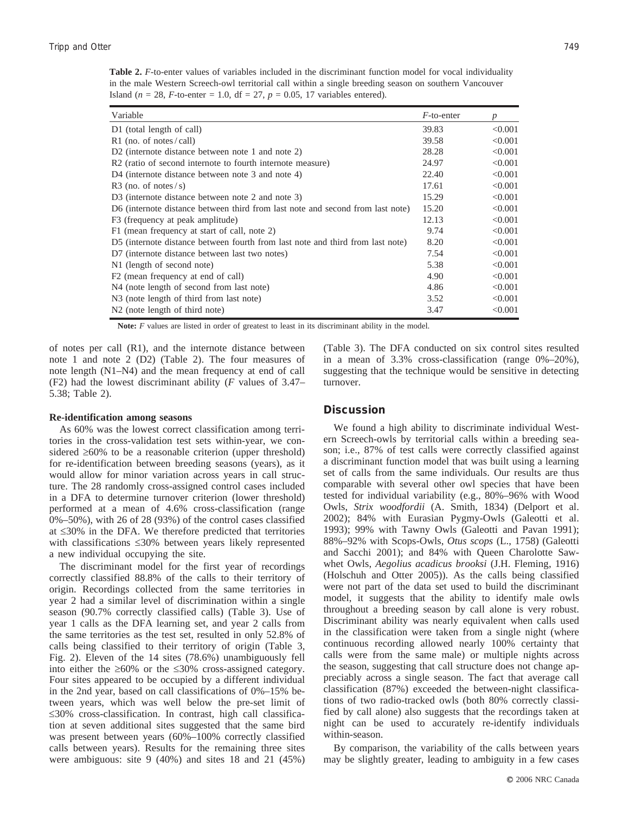**Table 2.** *F*-to-enter values of variables included in the discriminant function model for vocal individuality in the male Western Screech-owl territorial call within a single breeding season on southern Vancouver Island ( $n = 28$ , *F*-to-enter = 1.0, df = 27,  $p = 0.05$ , 17 variables entered).

| Variable                                                                       | $F$ -to-enter | p       |
|--------------------------------------------------------------------------------|---------------|---------|
| D1 (total length of call)                                                      | 39.83         | < 0.001 |
| R1 (no. of notes/call)                                                         | 39.58         | < 0.001 |
| D <sub>2</sub> (internote distance between note 1 and note 2)                  | 28.28         | < 0.001 |
| R2 (ratio of second internote to fourth internote measure)                     | 24.97         | < 0.001 |
| D4 (internote distance between note 3 and note 4)                              | 22.40         | < 0.001 |
| R3 (no. of notes/s)                                                            | 17.61         | < 0.001 |
| D3 (internote distance between note 2 and note 3)                              | 15.29         | < 0.001 |
| D6 (internote distance between third from last note and second from last note) | 15.20         | < 0.001 |
| F3 (frequency at peak amplitude)                                               | 12.13         | < 0.001 |
| F1 (mean frequency at start of call, note 2)                                   | 9.74          | < 0.001 |
| D5 (internote distance between fourth from last note and third from last note) | 8.20          | < 0.001 |
| D7 (internote distance between last two notes)                                 | 7.54          | < 0.001 |
| N1 (length of second note)                                                     | 5.38          | < 0.001 |
| F2 (mean frequency at end of call)                                             | 4.90          | < 0.001 |
| N4 (note length of second from last note)                                      | 4.86          | < 0.001 |
| N <sub>3</sub> (note length of third from last note)                           | 3.52          | < 0.001 |
| N <sub>2</sub> (note length of third note)                                     | 3.47          | < 0.001 |

Note: *F* values are listed in order of greatest to least in its discriminant ability in the model.

of notes per call (R1), and the internote distance between note 1 and note 2 (D2) (Table 2). The four measures of note length (N1–N4) and the mean frequency at end of call (F2) had the lowest discriminant ability (*F* values of 3.47– 5.38; Table 2).

#### **Re-identification among seasons**

As 60% was the lowest correct classification among territories in the cross-validation test sets within-year, we considered  $\geq 60\%$  to be a reasonable criterion (upper threshold) for re-identification between breeding seasons (years), as it would allow for minor variation across years in call structure. The 28 randomly cross-assigned control cases included in a DFA to determine turnover criterion (lower threshold) performed at a mean of 4.6% cross-classification (range 0%–50%), with 26 of 28 (93%) of the control cases classified at  $\leq 30\%$  in the DFA. We therefore predicted that territories with classifications  $\leq 30\%$  between years likely represented a new individual occupying the site.

The discriminant model for the first year of recordings correctly classified 88.8% of the calls to their territory of origin. Recordings collected from the same territories in year 2 had a similar level of discrimination within a single season (90.7% correctly classified calls) (Table 3). Use of year 1 calls as the DFA learning set, and year 2 calls from the same territories as the test set, resulted in only 52.8% of calls being classified to their territory of origin (Table 3, Fig. 2). Eleven of the 14 sites (78.6%) unambiguously fell into either the  $\geq 60\%$  or the  $\leq 30\%$  cross-assigned category. Four sites appeared to be occupied by a different individual in the 2nd year, based on call classifications of 0%–15% between years, which was well below the pre-set limit of  $\leq$ 30% cross-classification. In contrast, high call classification at seven additional sites suggested that the same bird was present between years (60%–100% correctly classified calls between years). Results for the remaining three sites were ambiguous: site 9 (40%) and sites 18 and 21 (45%) (Table 3). The DFA conducted on six control sites resulted in a mean of 3.3% cross-classification (range 0%–20%), suggesting that the technique would be sensitive in detecting turnover.

## **Discussion**

We found a high ability to discriminate individual Western Screech-owls by territorial calls within a breeding season; i.e., 87% of test calls were correctly classified against a discriminant function model that was built using a learning set of calls from the same individuals. Our results are thus comparable with several other owl species that have been tested for individual variability (e.g., 80%–96% with Wood Owls, *Strix woodfordii* (A. Smith, 1834) (Delport et al. 2002); 84% with Eurasian Pygmy-Owls (Galeotti et al. 1993); 99% with Tawny Owls (Galeotti and Pavan 1991); 88%–92% with Scops-Owls, *Otus scops* (L., 1758) (Galeotti and Sacchi 2001); and 84% with Queen Charolotte Sawwhet Owls, *Aegolius acadicus brooksi* (J.H. Fleming, 1916) (Holschuh and Otter 2005)). As the calls being classified were not part of the data set used to build the discriminant model, it suggests that the ability to identify male owls throughout a breeding season by call alone is very robust. Discriminant ability was nearly equivalent when calls used in the classification were taken from a single night (where continuous recording allowed nearly 100% certainty that calls were from the same male) or multiple nights across the season, suggesting that call structure does not change appreciably across a single season. The fact that average call classification (87%) exceeded the between-night classifications of two radio-tracked owls (both 80% correctly classified by call alone) also suggests that the recordings taken at night can be used to accurately re-identify individuals within-season.

By comparison, the variability of the calls between years may be slightly greater, leading to ambiguity in a few cases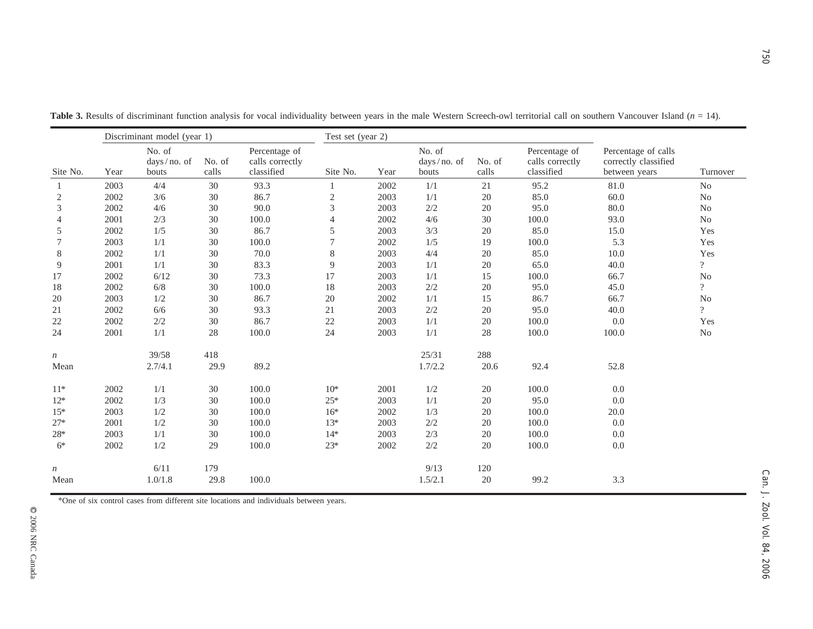| Site No.         | Discriminant model (year 1) |                                |                 |                                                | Test set (year 2) |      |                                |                 |                                                |                                                              |                          |
|------------------|-----------------------------|--------------------------------|-----------------|------------------------------------------------|-------------------|------|--------------------------------|-----------------|------------------------------------------------|--------------------------------------------------------------|--------------------------|
|                  | Year                        | No. of<br>days/no. of<br>bouts | No. of<br>calls | Percentage of<br>calls correctly<br>classified | Site No.          | Year | No. of<br>days/no. of<br>bouts | No. of<br>calls | Percentage of<br>calls correctly<br>classified | Percentage of calls<br>correctly classified<br>between years | Turnover                 |
| -1               | 2003                        | 4/4                            | 30              | 93.3                                           | -1                | 2002 | 1/1                            | $21\,$          | 95.2                                           | 81.0                                                         | N <sub>o</sub>           |
| $\sqrt{2}$       | 2002                        | $3/6$                          | 30              | 86.7                                           | $\overline{c}$    | 2003 | 1/1                            | $20\,$          | 85.0                                           | 60.0                                                         | $\rm No$                 |
| 3                | 2002                        | 4/6                            | $30\,$          | 90.0                                           | $\mathfrak{Z}$    | 2003 | 2/2                            | 20              | 95.0                                           | 80.0                                                         | N <sub>o</sub>           |
| $\overline{4}$   | 2001                        | 2/3                            | 30              | 100.0                                          | $\overline{4}$    | 2002 | 4/6                            | $30\,$          | 100.0                                          | 93.0                                                         | N <sub>o</sub>           |
| 5                | 2002                        | 1/5                            | 30              | 86.7                                           | $\mathfrak s$     | 2003 | 3/3                            | 20              | 85.0                                           | 15.0                                                         | Yes                      |
| 7                | 2003                        | 1/1                            | $30\,$          | 100.0                                          | $\boldsymbol{7}$  | 2002 | 1/5                            | 19              | 100.0                                          | 5.3                                                          | Yes                      |
| 8                | 2002                        | 1/1                            | 30              | 70.0                                           | $8\,$             | 2003 | 4/4                            | 20              | 85.0                                           | $10.0\,$                                                     | Yes                      |
| 9                | 2001                        | 1/1                            | $30\,$          | 83.3                                           | $\boldsymbol{9}$  | 2003 | 1/1                            | 20              | 65.0                                           | 40.0                                                         | $\overline{?}$           |
| 17               | 2002                        | 6/12                           | 30              | 73.3                                           | 17                | 2003 | 1/1                            | 15              | 100.0                                          | 66.7                                                         | No                       |
| 18               | 2002                        | $6/8$                          | $30\,$          | 100.0                                          | $18\,$            | 2003 | $2/2\,$                        | $20\,$          | 95.0                                           | 45.0                                                         | $\overline{\mathcal{L}}$ |
| 20               | 2003                        | 1/2                            | $30\,$          | 86.7                                           | $20\,$            | 2002 | 1/1                            | 15              | 86.7                                           | 66.7                                                         | $\rm No$                 |
| 21               | 2002                        | $6/6$                          | $30\,$          | 93.3                                           | $21\,$            | 2003 | $2/2\,$                        | $20\,$          | 95.0                                           | 40.0                                                         | $\overline{?}$           |
| 22               | 2002                        | 2/2                            | 30              | 86.7                                           | $22\,$            | 2003 | 1/1                            | 20              | 100.0                                          | 0.0                                                          | Yes                      |
| 24               | 2001                        | 1/1                            | $28\,$          | 100.0                                          | 24                | 2003 | 1/1                            | $28\,$          | 100.0                                          | $100.0\,$                                                    | $\rm No$                 |
| $\boldsymbol{n}$ |                             | 39/58                          | 418             |                                                |                   |      | 25/31                          | 288             |                                                |                                                              |                          |
| Mean             |                             | 2.7/4.1                        | 29.9            | 89.2                                           |                   |      | 1.7/2.2                        | 20.6            | 92.4                                           | 52.8                                                         |                          |
| $11*$            | 2002                        | 1/1                            | 30              | 100.0                                          | $10^*$            | 2001 | 1/2                            | 20              | 100.0                                          | 0.0                                                          |                          |
| $12*$            | 2002                        | 1/3                            | 30              | 100.0                                          | $25*$             | 2003 | 1/1                            | 20              | 95.0                                           | 0.0                                                          |                          |
| $15*$            | 2003                        | 1/2                            | $30\,$          | 100.0                                          | $16*$             | 2002 | 1/3                            | 20              | 100.0                                          | 20.0                                                         |                          |
| $27*$            | 2001                        | 1/2                            | $30\,$          | 100.0                                          | $13*$             | 2003 | $2/2$                          | 20              | 100.0                                          | 0.0                                                          |                          |
| $28*$            | 2003                        | 1/1                            | 30              | 100.0                                          | $14*$             | 2003 | 2/3                            | 20              | 100.0                                          | 0.0                                                          |                          |
| $6*$             | 2002                        | 1/2                            | 29              | 100.0                                          | $23*$             | 2002 | 2/2                            | 20              | 100.0                                          | $0.0\,$                                                      |                          |
| $\,n$            |                             | 6/11                           | 179             |                                                |                   |      | 9/13                           | 120             |                                                |                                                              |                          |
| Mean             |                             | 1.0/1.8                        | 29.8            | 100.0                                          |                   |      | 1.5/2.1                        | 20              | 99.2                                           | 3.3                                                          |                          |

Table 3. Results of discriminant function analysis for vocal individuality between years in the male Western Screech-owl territorial call on southern Vancouver Island (*n* = 14).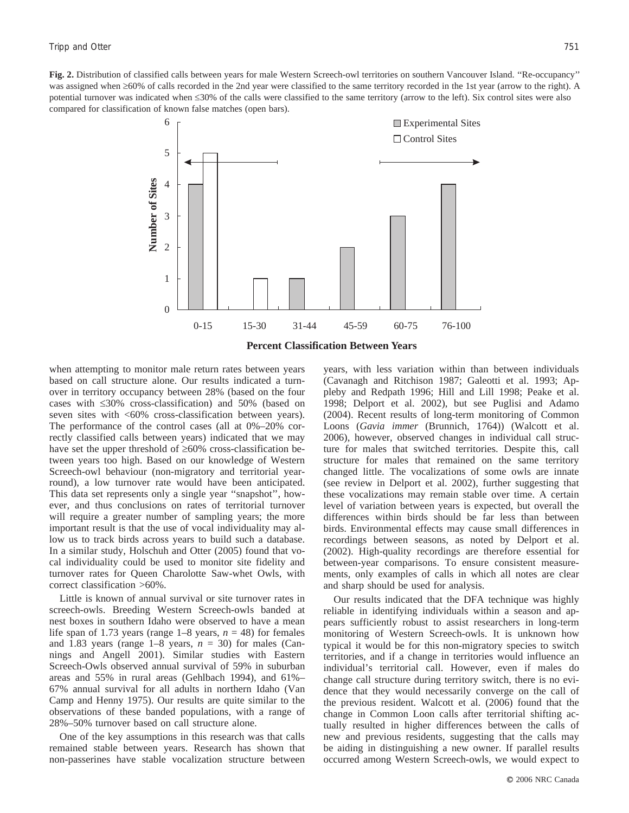**Fig. 2.** Distribution of classified calls between years for male Western Screech-owl territories on southern Vancouver Island. ''Re-occupancy'' was assigned when  $\geq 60\%$  of calls recorded in the 2nd year were classified to the same territory recorded in the 1st year (arrow to the right). A potential turnover was indicated when  $\leq 30\%$  of the calls were classified to the same territory (arrow to the left). Six control sites were also compared for classification of known false matches (open bars).



when attempting to monitor male return rates between years based on call structure alone. Our results indicated a turnover in territory occupancy between 28% (based on the four cases with  $\leq 30\%$  cross-classification) and 50% (based on seven sites with <60% cross-classification between years). The performance of the control cases (all at 0%–20% correctly classified calls between years) indicated that we may have set the upper threshold of  $\geq 60\%$  cross-classification between years too high. Based on our knowledge of Western Screech-owl behaviour (non-migratory and territorial yearround), a low turnover rate would have been anticipated. This data set represents only a single year ''snapshot'', however, and thus conclusions on rates of territorial turnover will require a greater number of sampling years; the more important result is that the use of vocal individuality may allow us to track birds across years to build such a database. In a similar study, Holschuh and Otter (2005) found that vocal individuality could be used to monitor site fidelity and turnover rates for Queen Charolotte Saw-whet Owls, with correct classification >60%.

Little is known of annual survival or site turnover rates in screech-owls. Breeding Western Screech-owls banded at nest boxes in southern Idaho were observed to have a mean life span of 1.73 years (range  $1-8$  years,  $n = 48$ ) for females and 1.83 years (range  $1-8$  years,  $n = 30$ ) for males (Cannings and Angell 2001). Similar studies with Eastern Screech-Owls observed annual survival of 59% in suburban areas and 55% in rural areas (Gehlbach 1994), and 61%– 67% annual survival for all adults in northern Idaho (Van Camp and Henny 1975). Our results are quite similar to the observations of these banded populations, with a range of 28%–50% turnover based on call structure alone.

One of the key assumptions in this research was that calls remained stable between years. Research has shown that non-passerines have stable vocalization structure between years, with less variation within than between individuals (Cavanagh and Ritchison 1987; Galeotti et al. 1993; Appleby and Redpath 1996; Hill and Lill 1998; Peake et al. 1998; Delport et al. 2002), but see Puglisi and Adamo (2004). Recent results of long-term monitoring of Common Loons (*Gavia immer* (Brunnich, 1764)) (Walcott et al. 2006), however, observed changes in individual call structure for males that switched territories. Despite this, call structure for males that remained on the same territory changed little. The vocalizations of some owls are innate (see review in Delport et al. 2002), further suggesting that these vocalizations may remain stable over time. A certain level of variation between years is expected, but overall the differences within birds should be far less than between birds. Environmental effects may cause small differences in recordings between seasons, as noted by Delport et al. (2002). High-quality recordings are therefore essential for between-year comparisons. To ensure consistent measurements, only examples of calls in which all notes are clear and sharp should be used for analysis.

Our results indicated that the DFA technique was highly reliable in identifying individuals within a season and appears sufficiently robust to assist researchers in long-term monitoring of Western Screech-owls. It is unknown how typical it would be for this non-migratory species to switch territories, and if a change in territories would influence an individual's territorial call. However, even if males do change call structure during territory switch, there is no evidence that they would necessarily converge on the call of the previous resident. Walcott et al. (2006) found that the change in Common Loon calls after territorial shifting actually resulted in higher differences between the calls of new and previous residents, suggesting that the calls may be aiding in distinguishing a new owner. If parallel results occurred among Western Screech-owls, we would expect to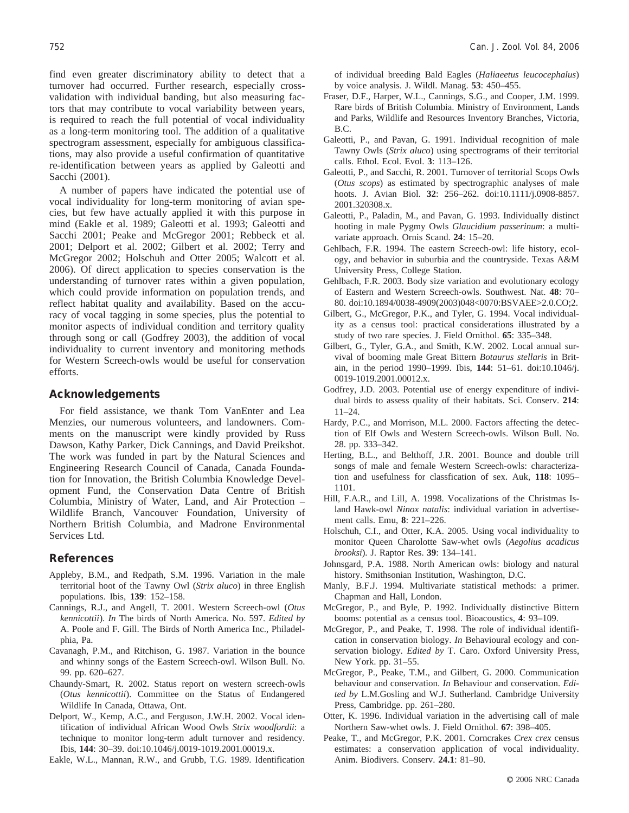find even greater discriminatory ability to detect that a turnover had occurred. Further research, especially crossvalidation with individual banding, but also measuring factors that may contribute to vocal variability between years, is required to reach the full potential of vocal individuality as a long-term monitoring tool. The addition of a qualitative spectrogram assessment, especially for ambiguous classifications, may also provide a useful confirmation of quantitative re-identification between years as applied by Galeotti and Sacchi (2001).

A number of papers have indicated the potential use of vocal individuality for long-term monitoring of avian species, but few have actually applied it with this purpose in mind (Eakle et al. 1989; Galeotti et al. 1993; Galeotti and Sacchi 2001; Peake and McGregor 2001; Rebbeck et al. 2001; Delport et al. 2002; Gilbert et al. 2002; Terry and McGregor 2002; Holschuh and Otter 2005; Walcott et al. 2006). Of direct application to species conservation is the understanding of turnover rates within a given population, which could provide information on population trends, and reflect habitat quality and availability. Based on the accuracy of vocal tagging in some species, plus the potential to monitor aspects of individual condition and territory quality through song or call (Godfrey 2003), the addition of vocal individuality to current inventory and monitoring methods for Western Screech-owls would be useful for conservation efforts.

### **Acknowledgements**

For field assistance, we thank Tom VanEnter and Lea Menzies, our numerous volunteers, and landowners. Comments on the manuscript were kindly provided by Russ Dawson, Kathy Parker, Dick Cannings, and David Preikshot. The work was funded in part by the Natural Sciences and Engineering Research Council of Canada, Canada Foundation for Innovation, the British Columbia Knowledge Development Fund, the Conservation Data Centre of British Columbia, Ministry of Water, Land, and Air Protection – Wildlife Branch, Vancouver Foundation, University of Northern British Columbia, and Madrone Environmental Services Ltd.

## **References**

- Appleby, B.M., and Redpath, S.M. 1996. Variation in the male territorial hoot of the Tawny Owl (*Strix aluco*) in three English populations. Ibis, **139**: 152–158.
- Cannings, R.J., and Angell, T. 2001. Western Screech-owl (*Otus kennicottii*). *In* The birds of North America. No. 597. *Edited by* A. Poole and F. Gill. The Birds of North America Inc., Philadelphia, Pa.
- Cavanagh, P.M., and Ritchison, G. 1987. Variation in the bounce and whinny songs of the Eastern Screech-owl. Wilson Bull. No. 99. pp. 620–627.
- Chaundy-Smart, R. 2002. Status report on western screech-owls (*Otus kennicottii*). Committee on the Status of Endangered Wildlife In Canada, Ottawa, Ont.
- Delport, W., Kemp, A.C., and Ferguson, J.W.H. 2002. Vocal identification of individual African Wood Owls *Strix woodfordii*: a technique to monitor long-term adult turnover and residency. Ibis, **144**: 30–39. doi:10.1046/j.0019-1019.2001.00019.x.

Eakle, W.L., Mannan, R.W., and Grubb, T.G. 1989. Identification

of individual breeding Bald Eagles (*Haliaeetus leucocephalus*) by voice analysis. J. Wildl. Manag. **53**: 450–455.

- Fraser, D.F., Harper, W.L., Cannings, S.G., and Cooper, J.M. 1999. Rare birds of British Columbia. Ministry of Environment, Lands and Parks, Wildlife and Resources Inventory Branches, Victoria, B.C.
- Galeotti, P., and Pavan, G. 1991. Individual recognition of male Tawny Owls (*Strix aluco*) using spectrograms of their territorial calls. Ethol. Ecol. Evol. **3**: 113–126.
- Galeotti, P., and Sacchi, R. 2001. Turnover of territorial Scops Owls (*Otus scops*) as estimated by spectrographic analyses of male hoots. J. Avian Biol. **32**: 256–262. doi:10.1111/j.0908-8857. 2001.320308.x.
- Galeotti, P., Paladin, M., and Pavan, G. 1993. Individually distinct hooting in male Pygmy Owls *Glaucidium passerinum*: a multivariate approach. Ornis Scand. **24**: 15–20.
- Gehlbach, F.R. 1994. The eastern Screech-owl: life history, ecology, and behavior in suburbia and the countryside. Texas A&M University Press, College Station.
- Gehlbach, F.R. 2003. Body size variation and evolutionary ecology of Eastern and Western Screech-owls. Southwest. Nat. **48**: 70– 80. doi:10.1894/0038-4909(2003)048<0070:BSVAEE>2.0.CO;2.
- Gilbert, G., McGregor, P.K., and Tyler, G. 1994. Vocal individuality as a census tool: practical considerations illustrated by a study of two rare species. J. Field Ornithol. **65**: 335–348.
- Gilbert, G., Tyler, G.A., and Smith, K.W. 2002. Local annual survival of booming male Great Bittern *Botaurus stellaris* in Britain, in the period 1990–1999. Ibis, **144**: 51–61. doi:10.1046/j. 0019-1019.2001.00012.x.
- Godfrey, J.D. 2003. Potential use of energy expenditure of individual birds to assess quality of their habitats. Sci. Conserv. **214**: 11–24.
- Hardy, P.C., and Morrison, M.L. 2000. Factors affecting the detection of Elf Owls and Western Screech-owls. Wilson Bull. No. 28. pp. 333–342.
- Herting, B.L., and Belthoff, J.R. 2001. Bounce and double trill songs of male and female Western Screech-owls: characterization and usefulness for classfication of sex. Auk, **118**: 1095– 1101.
- Hill, F.A.R., and Lill, A. 1998. Vocalizations of the Christmas Island Hawk-owl *Ninox natalis*: individual variation in advertisement calls. Emu, **8**: 221–226.
- Holschuh, C.I., and Otter, K.A. 2005. Using vocal individuality to monitor Queen Charolotte Saw-whet owls (*Aegolius acadicus brooksi*). J. Raptor Res. **39**: 134–141.
- Johnsgard, P.A. 1988. North American owls: biology and natural history. Smithsonian Institution, Washington, D.C.
- Manly, B.F.J. 1994. Multivariate statistical methods: a primer. Chapman and Hall, London.
- McGregor, P., and Byle, P. 1992. Individually distinctive Bittern booms: potential as a census tool. Bioacoustics, **4**: 93–109.
- McGregor, P., and Peake, T. 1998. The role of individual identification in conservation biology. *In* Behavioural ecology and conservation biology. *Edited by* T. Caro. Oxford University Press, New York. pp. 31–55.
- McGregor, P., Peake, T.M., and Gilbert, G. 2000. Communication behaviour and conservation. *In* Behaviour and conservation. *Edited by* L.M.Gosling and W.J. Sutherland. Cambridge University Press, Cambridge. pp. 261–280.
- Otter, K. 1996. Individual variation in the advertising call of male Northern Saw-whet owls. J. Field Ornithol. **67**: 398–405.
- Peake, T., and McGregor, P.K. 2001. Corncrakes *Crex crex* census estimates: a conservation application of vocal individuality. Anim. Biodivers. Conserv. **24.1**: 81–90.